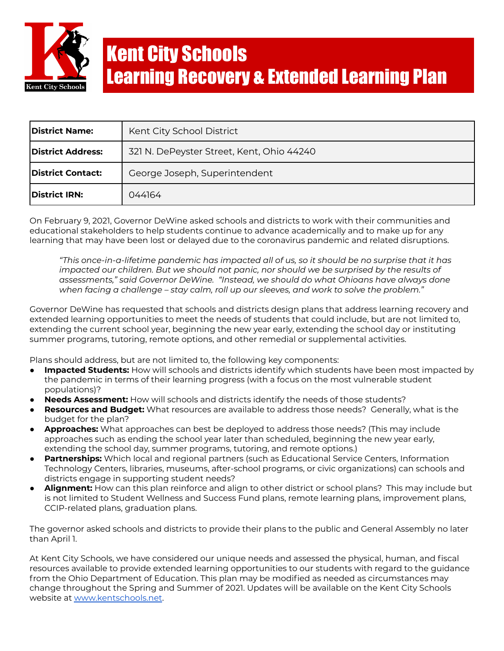

| <b>District Name:</b>     | Kent City School District                 |
|---------------------------|-------------------------------------------|
| District Address:         | 321 N. DePeyster Street, Kent, Ohio 44240 |
| <b>IDistrict Contact:</b> | George Joseph, Superintendent             |
| District IRN:             | 044164                                    |

On February 9, 2021, Governor DeWine asked schools and districts to work with their communities and educational stakeholders to help students continue to advance academically and to make up for any learning that may have been lost or delayed due to the coronavirus pandemic and related disruptions.

*"This once-in-a-lifetime pandemic has impacted all of us, so it should be no surprise that it has impacted our children. But we should not panic, nor should we be surprised by the results of assessments," said Governor DeWine. "Instead, we should do what Ohioans have always done when facing a challenge – stay calm, roll up our sleeves, and work to solve the problem."*

Governor DeWine has requested that schools and districts design plans that address learning recovery and extended learning opportunities to meet the needs of students that could include, but are not limited to, extending the current school year, beginning the new year early, extending the school day or instituting summer programs, tutoring, remote options, and other remedial or supplemental activities.

Plans should address, but are not limited to, the following key components:

- **Impacted Students:** How will schools and districts identify which students have been most impacted by the pandemic in terms of their learning progress (with a focus on the most vulnerable student populations)?
- **Needs Assessment:** How will schools and districts identify the needs of those students?
- **Resources and Budget:** What resources are available to address those needs? Generally, what is the budget for the plan?
- **Approaches:** What approaches can best be deployed to address those needs? (This may include approaches such as ending the school year later than scheduled, beginning the new year early, extending the school day, summer programs, tutoring, and remote options.)
- **Partnerships:** Which local and regional partners (such as Educational Service Centers, Information Technology Centers, libraries, museums, after-school programs, or civic organizations) can schools and districts engage in supporting student needs?
- **Alignment:** How can this plan reinforce and align to other district or school plans? This may include but is not limited to Student Wellness and Success Fund plans, remote learning plans, improvement plans, CCIP-related plans, graduation plans.

The governor asked schools and districts to provide their plans to the public and General Assembly no later than April 1.

At Kent City Schools, we have considered our unique needs and assessed the physical, human, and fiscal resources available to provide extended learning opportunities to our students with regard to the guidance from the Ohio Department of Education. This plan may be modified as needed as circumstances may change throughout the Spring and Summer of 2021. Updates will be available on the Kent City Schools website at [www.kentschools.net](http://www.kentschools.net).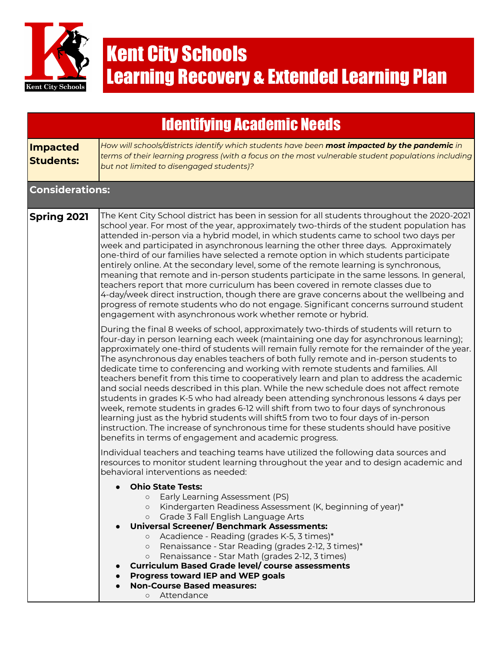

|                                     | <b>Identifying Academic Needs</b>                                                                                                                                                                                                                                                                                                                                                                                                                                                                                                                                                                                                                                                                                                                                                                                                                                                                                                                                                                                                                                           |
|-------------------------------------|-----------------------------------------------------------------------------------------------------------------------------------------------------------------------------------------------------------------------------------------------------------------------------------------------------------------------------------------------------------------------------------------------------------------------------------------------------------------------------------------------------------------------------------------------------------------------------------------------------------------------------------------------------------------------------------------------------------------------------------------------------------------------------------------------------------------------------------------------------------------------------------------------------------------------------------------------------------------------------------------------------------------------------------------------------------------------------|
| <b>Impacted</b><br><b>Students:</b> | How will schools/districts identify which students have been most impacted by the pandemic in<br>terms of their learning progress (with a focus on the most vulnerable student populations including<br>but not limited to disengaged students)?                                                                                                                                                                                                                                                                                                                                                                                                                                                                                                                                                                                                                                                                                                                                                                                                                            |
| <b>Considerations:</b>              |                                                                                                                                                                                                                                                                                                                                                                                                                                                                                                                                                                                                                                                                                                                                                                                                                                                                                                                                                                                                                                                                             |
| Spring 2021                         | The Kent City School district has been in session for all students throughout the 2020-2021<br>school year. For most of the year, approximately two-thirds of the student population has<br>attended in-person via a hybrid model, in which students came to school two days per<br>week and participated in asynchronous learning the other three days. Approximately<br>one-third of our families have selected a remote option in which students participate<br>entirely online. At the secondary level, some of the remote learning is synchronous,<br>meaning that remote and in-person students participate in the same lessons. In general,<br>teachers report that more curriculum has been covered in remote classes due to<br>4-day/week direct instruction, though there are grave concerns about the wellbeing and<br>progress of remote students who do not engage. Significant concerns surround student<br>engagement with asynchronous work whether remote or hybrid.                                                                                       |
|                                     | During the final 8 weeks of school, approximately two-thirds of students will return to<br>four-day in person learning each week (maintaining one day for asynchronous learning);<br>approximately one-third of students will remain fully remote for the remainder of the year.<br>The asynchronous day enables teachers of both fully remote and in-person students to<br>dedicate time to conferencing and working with remote students and families. All<br>teachers benefit from this time to cooperatively learn and plan to address the academic<br>and social needs described in this plan. While the new schedule does not affect remote<br>students in grades K-5 who had already been attending synchronous lessons 4 days per<br>week, remote students in grades 6-12 will shift from two to four days of synchronous<br>learning just as the hybrid students will shift5 from two to four days of in-person<br>instruction. The increase of synchronous time for these students should have positive<br>benefits in terms of engagement and academic progress. |
|                                     | Individual teachers and teaching teams have utilized the following data sources and<br>resources to monitor student learning throughout the year and to design academic and<br>behavioral interventions as needed:                                                                                                                                                                                                                                                                                                                                                                                                                                                                                                                                                                                                                                                                                                                                                                                                                                                          |
|                                     | <b>Ohio State Tests:</b><br>Early Learning Assessment (PS)<br>Kindergarten Readiness Assessment (K, beginning of year)*<br>$\circ$<br>Grade 3 Fall English Language Arts<br>$\circ$<br><b>Universal Screener/ Benchmark Assessments:</b><br>Acadience - Reading (grades K-5, 3 times)*<br>$\circ$<br>Renaissance - Star Reading (grades 2-12, 3 times)*<br>$\circ$<br>Renaissance - Star Math (grades 2-12, 3 times)<br>$\circ$<br>Curriculum Based Grade level/ course assessments<br><b>Progress toward IEP and WEP goals</b><br><b>Non-Course Based measures:</b><br>Attendance<br>$\circ$                                                                                                                                                                                                                                                                                                                                                                                                                                                                               |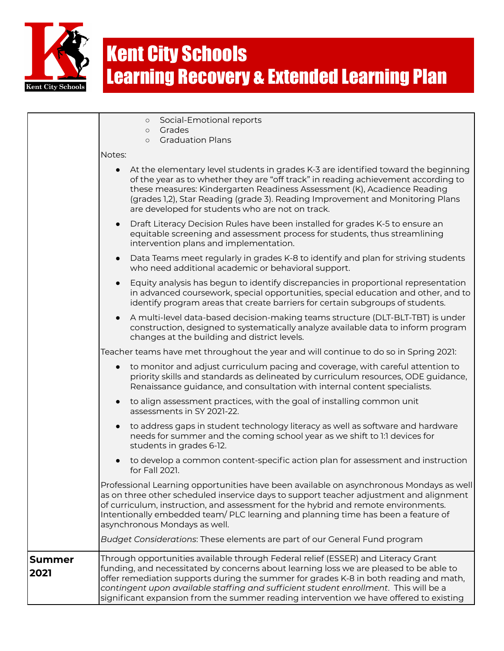

|                       | Social-Emotional reports<br>$\circ$<br>Grades<br>$\circ$                                                                                                                                                                                                                                                                                                                                                                                               |
|-----------------------|--------------------------------------------------------------------------------------------------------------------------------------------------------------------------------------------------------------------------------------------------------------------------------------------------------------------------------------------------------------------------------------------------------------------------------------------------------|
|                       | <b>Graduation Plans</b><br>$\circ$                                                                                                                                                                                                                                                                                                                                                                                                                     |
|                       | Notes:                                                                                                                                                                                                                                                                                                                                                                                                                                                 |
|                       | At the elementary level students in grades K-3 are identified toward the beginning<br>$\bullet$<br>of the year as to whether they are "off track" in reading achievement according to<br>these measures: Kindergarten Readiness Assessment (K), Acadience Reading<br>(grades 1,2), Star Reading (grade 3). Reading Improvement and Monitoring Plans<br>are developed for students who are not on track.                                                |
|                       | Draft Literacy Decision Rules have been installed for grades K-5 to ensure an<br>$\bullet$<br>equitable screening and assessment process for students, thus streamlining<br>intervention plans and implementation.                                                                                                                                                                                                                                     |
|                       | Data Teams meet regularly in grades K-8 to identify and plan for striving students<br>$\bullet$<br>who need additional academic or behavioral support.                                                                                                                                                                                                                                                                                                 |
|                       | Equity analysis has begun to identify discrepancies in proportional representation<br>$\bullet$<br>in advanced coursework, special opportunities, special education and other, and to<br>identify program areas that create barriers for certain subgroups of students.                                                                                                                                                                                |
|                       | A multi-level data-based decision-making teams structure (DLT-BLT-TBT) is under<br>construction, designed to systematically analyze available data to inform program<br>changes at the building and district levels.                                                                                                                                                                                                                                   |
|                       | Teacher teams have met throughout the year and will continue to do so in Spring 2021:                                                                                                                                                                                                                                                                                                                                                                  |
|                       | to monitor and adjust curriculum pacing and coverage, with careful attention to<br>$\bullet$<br>priority skills and standards as delineated by curriculum resources, ODE guidance,<br>Renaissance guidance, and consultation with internal content specialists.                                                                                                                                                                                        |
|                       | to align assessment practices, with the goal of installing common unit<br>assessments in SY 2021-22.                                                                                                                                                                                                                                                                                                                                                   |
|                       | to address gaps in student technology literacy as well as software and hardware<br>needs for summer and the coming school year as we shift to 1:1 devices for<br>students in grades 6-12.                                                                                                                                                                                                                                                              |
|                       | to develop a common content-specific action plan for assessment and instruction<br>for Fall 2021.                                                                                                                                                                                                                                                                                                                                                      |
|                       | Professional Learning opportunities have been available on asynchronous Mondays as well<br>as on three other scheduled inservice days to support teacher adjustment and alignment<br>of curriculum, instruction, and assessment for the hybrid and remote environments.<br>Intentionally embedded team/ PLC learning and planning time has been a feature of<br>asynchronous Mondays as well.                                                          |
|                       | Budget Considerations: These elements are part of our General Fund program                                                                                                                                                                                                                                                                                                                                                                             |
| <b>Summer</b><br>2021 | Through opportunities available through Federal relief (ESSER) and Literacy Grant<br>funding, and necessitated by concerns about learning loss we are pleased to be able to<br>offer remediation supports during the summer for grades K-8 in both reading and math,<br>contingent upon available staffing and sufficient student enrollment. This will be a<br>significant expansion from the summer reading intervention we have offered to existing |
|                       |                                                                                                                                                                                                                                                                                                                                                                                                                                                        |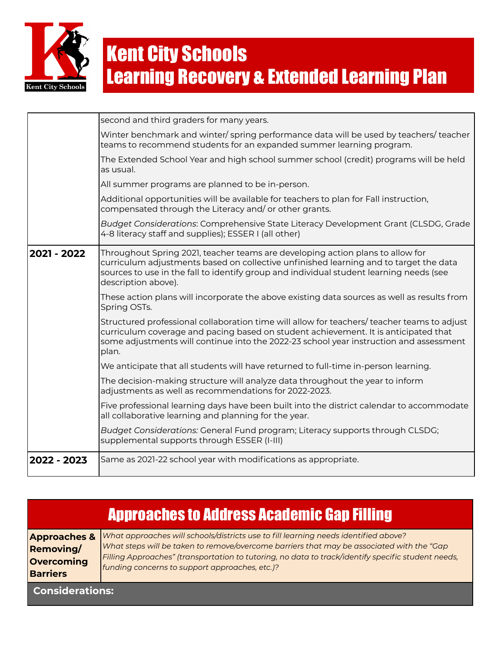

|             | second and third graders for many years.                                                                                                                                                                                                                                                  |
|-------------|-------------------------------------------------------------------------------------------------------------------------------------------------------------------------------------------------------------------------------------------------------------------------------------------|
|             | Winter benchmark and winter/ spring performance data will be used by teachers/ teacher<br>teams to recommend students for an expanded summer learning program.                                                                                                                            |
|             | The Extended School Year and high school summer school (credit) programs will be held<br>as usual.                                                                                                                                                                                        |
|             | All summer programs are planned to be in-person.                                                                                                                                                                                                                                          |
|             | Additional opportunities will be available for teachers to plan for Fall instruction,<br>compensated through the Literacy and/or other grants.                                                                                                                                            |
|             | Budget Considerations: Comprehensive State Literacy Development Grant (CLSDG, Grade<br>4-8 literacy staff and supplies); ESSER I (all other)                                                                                                                                              |
| 2021 - 2022 | Throughout Spring 2021, teacher teams are developing action plans to allow for<br>curriculum adjustments based on collective unfinished learning and to target the data<br>sources to use in the fall to identify group and individual student learning needs (see<br>description above). |
|             | These action plans will incorporate the above existing data sources as well as results from<br>Spring OSTs.                                                                                                                                                                               |
|             | Structured professional collaboration time will allow for teachers/ teacher teams to adjust<br>curriculum coverage and pacing based on student achievement. It is anticipated that<br>some adjustments will continue into the 2022-23 school year instruction and assessment<br>plan.     |
|             | We anticipate that all students will have returned to full-time in-person learning.                                                                                                                                                                                                       |
|             | The decision-making structure will analyze data throughout the year to inform<br>adjustments as well as recommendations for 2022-2023.                                                                                                                                                    |
|             | Five professional learning days have been built into the district calendar to accommodate<br>all collaborative learning and planning for the year.                                                                                                                                        |
|             | Budget Considerations: General Fund program; Literacy supports through CLSDG;<br>supplemental supports through ESSER (I-III)                                                                                                                                                              |
| 2022 - 2023 | Same as 2021-22 school year with modifications as appropriate.                                                                                                                                                                                                                            |

| <b>Approaches to Address Academic Gap Filling</b>                            |                                                                                                                                                                                                                                                                                                                                           |  |
|------------------------------------------------------------------------------|-------------------------------------------------------------------------------------------------------------------------------------------------------------------------------------------------------------------------------------------------------------------------------------------------------------------------------------------|--|
| <b>Approaches &amp;</b><br><b>Removing/</b><br>Overcoming<br><b>Barriers</b> | What approaches will schools/districts use to fill learning needs identified above?<br>What steps will be taken to remove/overcome barriers that may be associated with the "Gap"<br>Filling Approaches" (transportation to tutoring, no data to track/identify specific student needs,<br>funding concerns to support approaches, etc.)? |  |
| <b>Considerations:</b>                                                       |                                                                                                                                                                                                                                                                                                                                           |  |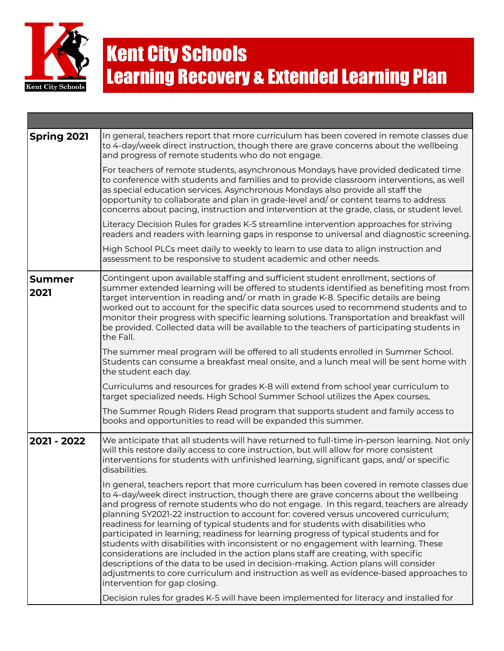

| <b>Spring 2021</b> | In general, teachers report that more curriculum has been covered in remote classes due<br>to 4-day/week direct instruction, though there are grave concerns about the wellbeing<br>and progress of remote students who do not engage.                                                                                                                                                                                                                                                                                                                                                                                                                                                                                                                                                                                                                                                                                                       |
|--------------------|----------------------------------------------------------------------------------------------------------------------------------------------------------------------------------------------------------------------------------------------------------------------------------------------------------------------------------------------------------------------------------------------------------------------------------------------------------------------------------------------------------------------------------------------------------------------------------------------------------------------------------------------------------------------------------------------------------------------------------------------------------------------------------------------------------------------------------------------------------------------------------------------------------------------------------------------|
|                    | For teachers of remote students, asynchronous Mondays have provided dedicated time<br>to conference with students and families and to provide classroom interventions, as well<br>as special education services. Asynchronous Mondays also provide all staff the<br>opportunity to collaborate and plan in grade-level and/ or content teams to address<br>concerns about pacing, instruction and intervention at the grade, class, or student level.                                                                                                                                                                                                                                                                                                                                                                                                                                                                                        |
|                    | Literacy Decision Rules for grades K-5 streamline intervention approaches for striving<br>readers and readers with learning gaps in response to universal and diagnostic screening.                                                                                                                                                                                                                                                                                                                                                                                                                                                                                                                                                                                                                                                                                                                                                          |
|                    | High School PLCs meet daily to weekly to learn to use data to align instruction and<br>assessment to be responsive to student academic and other needs.                                                                                                                                                                                                                                                                                                                                                                                                                                                                                                                                                                                                                                                                                                                                                                                      |
| Summer<br>2021     | Contingent upon available staffing and sufficient student enrollment, sections of<br>summer extended learning will be offered to students identified as benefiting most from<br>target intervention in reading and/ or math in grade K-8. Specific details are being<br>worked out to account for the specific data sources used to recommend students and to<br>monitor their progress with specific learning solutions. Transportation and breakfast will<br>be provided. Collected data will be available to the teachers of participating students in<br>the Fall.                                                                                                                                                                                                                                                                                                                                                                       |
|                    | The summer meal program will be offered to all students enrolled in Summer School.<br>Students can consume a breakfast meal onsite, and a lunch meal will be sent home with<br>the student each day.                                                                                                                                                                                                                                                                                                                                                                                                                                                                                                                                                                                                                                                                                                                                         |
|                    | Curriculums and resources for grades K-8 will extend from school year curriculum to<br>target specialized needs. High School Summer School utilizes the Apex courses,                                                                                                                                                                                                                                                                                                                                                                                                                                                                                                                                                                                                                                                                                                                                                                        |
|                    | The Summer Rough Riders Read program that supports student and family access to<br>books and opportunities to read will be expanded this summer.                                                                                                                                                                                                                                                                                                                                                                                                                                                                                                                                                                                                                                                                                                                                                                                             |
| 2021 - 2022        | We anticipate that all students will have returned to full-time in-person learning. Not only<br>will this restore daily access to core instruction, but will allow for more consistent<br>interventions for students with unfinished learning, significant gaps, and/or specific<br>disabilities.                                                                                                                                                                                                                                                                                                                                                                                                                                                                                                                                                                                                                                            |
|                    | In general, teachers report that more curriculum has been covered in remote classes due<br>to 4-day/week direct instruction, though there are grave concerns about the wellbeing<br>and progress of remote students who do not engage. In this regard, teachers are already<br>planning SY2021-22 instruction to account for: covered versus uncovered curriculum;<br>readiness for learning of typical students and for students with disabilities who<br>participated in learning; readiness for learning progress of typical students and for<br>students with disabilities with inconsistent or no engagement with learning. These<br>considerations are included in the action plans staff are creating, with specific<br>descriptions of the data to be used in decision-making. Action plans will consider<br>adjustments to core curriculum and instruction as well as evidence-based approaches to<br>intervention for gap closing. |
|                    | Decision rules for grades K-5 will have been implemented for literacy and installed for                                                                                                                                                                                                                                                                                                                                                                                                                                                                                                                                                                                                                                                                                                                                                                                                                                                      |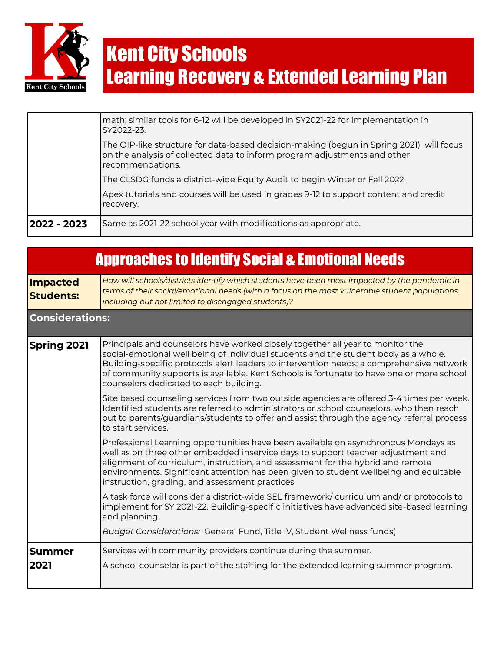

| 2022 - 2023 | Same as 2021-22 school year with modifications as appropriate.                                                                                                                           |
|-------------|------------------------------------------------------------------------------------------------------------------------------------------------------------------------------------------|
|             | Apex tutorials and courses will be used in grades 9-12 to support content and credit<br>recovery.                                                                                        |
|             | The CLSDG funds a district-wide Equity Audit to begin Winter or Fall 2022.                                                                                                               |
|             | The OIP-like structure for data-based decision-making (begun in Spring 2021) will focus<br>on the analysis of collected data to inform program adjustments and other<br>recommendations. |
|             | math; similar tools for 6-12 will be developed in SY2021-22 for implementation in<br>SY2022-23.                                                                                          |

|                                     | <b>Approaches to Identify Social &amp; Emotional Needs</b>                                                                                                                                                                                                                                                                                                                                              |
|-------------------------------------|---------------------------------------------------------------------------------------------------------------------------------------------------------------------------------------------------------------------------------------------------------------------------------------------------------------------------------------------------------------------------------------------------------|
| <b>Impacted</b><br><b>Students:</b> | How will schools/districts identify which students have been most impacted by the pandemic in<br>terms of their social/emotional needs (with a focus on the most vulnerable student populations<br>including but not limited to disengaged students)?                                                                                                                                                   |
| <b>Considerations:</b>              |                                                                                                                                                                                                                                                                                                                                                                                                         |
| <b>Spring 2021</b>                  | Principals and counselors have worked closely together all year to monitor the<br>social-emotional well being of individual students and the student body as a whole.<br>Building-specific protocols alert leaders to intervention needs; a comprehensive network<br>of community supports is available. Kent Schools is fortunate to have one or more school<br>counselors dedicated to each building. |
|                                     | Site based counseling services from two outside agencies are offered 3-4 times per week.<br>Identified students are referred to administrators or school counselors, who then reach<br>out to parents/guardians/students to offer and assist through the agency referral process<br>to start services.                                                                                                  |
|                                     | Professional Learning opportunities have been available on asynchronous Mondays as<br>well as on three other embedded inservice days to support teacher adjustment and<br>alignment of curriculum, instruction, and assessment for the hybrid and remote<br>environments. Significant attention has been given to student wellbeing and equitable<br>instruction, grading, and assessment practices.    |
|                                     | A task force will consider a district-wide SEL framework/ curriculum and/ or protocols to<br>implement for SY 2021-22. Building-specific initiatives have advanced site-based learning<br>and planning.                                                                                                                                                                                                 |
|                                     | Budget Considerations: General Fund, Title IV, Student Wellness funds)                                                                                                                                                                                                                                                                                                                                  |
| <b>Summer</b><br>2021               | Services with community providers continue during the summer.<br>A school counselor is part of the staffing for the extended learning summer program.                                                                                                                                                                                                                                                   |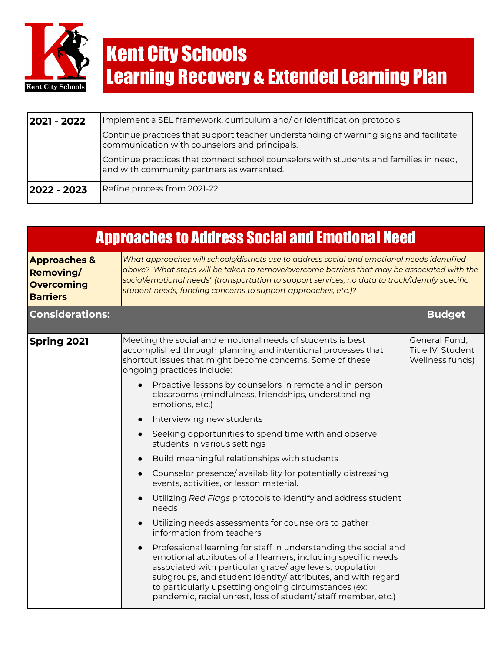

| 2021 - 2022 | Implement a SEL framework, curriculum and/or identification protocols.                                                                 |  |  |  |
|-------------|----------------------------------------------------------------------------------------------------------------------------------------|--|--|--|
|             | Continue practices that support teacher understanding of warning signs and facilitate<br>communication with counselors and principals. |  |  |  |
|             | Continue practices that connect school counselors with students and families in need,<br>and with community partners as warranted.     |  |  |  |
| 2022 - 2023 | Refine process from 2021-22                                                                                                            |  |  |  |

| <b>Approaches to Address Social and Emotional Need</b>                              |                                                                                                                                                                                                                                                                                                                                                                                                  |                                                       |
|-------------------------------------------------------------------------------------|--------------------------------------------------------------------------------------------------------------------------------------------------------------------------------------------------------------------------------------------------------------------------------------------------------------------------------------------------------------------------------------------------|-------------------------------------------------------|
| <b>Approaches &amp;</b><br><b>Removing/</b><br><b>Overcoming</b><br><b>Barriers</b> | What approaches will schools/districts use to address social and emotional needs identified<br>above? What steps will be taken to remove/overcome barriers that may be associated with the<br>social/emotional needs" (transportation to support services, no data to track/identify specific<br>student needs, funding concerns to support approaches, etc.)?                                   |                                                       |
| <b>Considerations:</b>                                                              |                                                                                                                                                                                                                                                                                                                                                                                                  | <b>Budget</b>                                         |
| <b>Spring 2021</b>                                                                  | Meeting the social and emotional needs of students is best<br>accomplished through planning and intentional processes that<br>shortcut issues that might become concerns. Some of these<br>ongoing practices include:                                                                                                                                                                            | General Fund,<br>Title IV, Student<br>Wellness funds) |
|                                                                                     | Proactive lessons by counselors in remote and in person<br>classrooms (mindfulness, friendships, understanding<br>emotions, etc.)                                                                                                                                                                                                                                                                |                                                       |
|                                                                                     | Interviewing new students<br>$\bullet$                                                                                                                                                                                                                                                                                                                                                           |                                                       |
|                                                                                     | Seeking opportunities to spend time with and observe<br>$\bullet$<br>students in various settings                                                                                                                                                                                                                                                                                                |                                                       |
|                                                                                     | Build meaningful relationships with students<br>$\bullet$                                                                                                                                                                                                                                                                                                                                        |                                                       |
|                                                                                     | Counselor presence/availability for potentially distressing<br>$\bullet$<br>events, activities, or lesson material.                                                                                                                                                                                                                                                                              |                                                       |
|                                                                                     | Utilizing Red Flags protocols to identify and address student<br>needs                                                                                                                                                                                                                                                                                                                           |                                                       |
|                                                                                     | Utilizing needs assessments for counselors to gather<br>$\bullet$<br>information from teachers                                                                                                                                                                                                                                                                                                   |                                                       |
|                                                                                     | Professional learning for staff in understanding the social and<br>$\bullet$<br>emotional attributes of all learners, including specific needs<br>associated with particular grade/age levels, population<br>subgroups, and student identity/attributes, and with regard<br>to particularly upsetting ongoing circumstances (ex:<br>pandemic, racial unrest, loss of student/staff member, etc.) |                                                       |